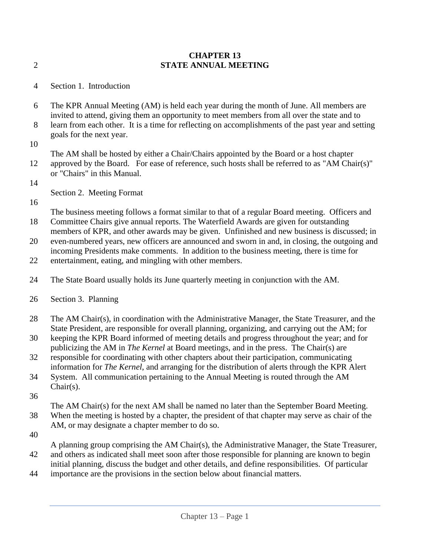## **CHAPTER 13** 2 **STATE ANNUAL MEETING**

- 4 Section 1. Introduction
- 6 The KPR Annual Meeting (AM) is held each year during the month of June. All members are invited to attend, giving them an opportunity to meet members from all over the state and to
- 8 learn from each other. It is a time for reflecting on accomplishments of the past year and setting goals for the next year.
- 10

The AM shall be hosted by either a Chair/Chairs appointed by the Board or a host chapter 12 approved by the Board. For ease of reference, such hosts shall be referred to as "AM Chair(s)" or "Chairs" in this Manual.

14

Section 2. Meeting Format

16

The business meeting follows a format similar to that of a regular Board meeting. Officers and 18 Committee Chairs give annual reports. The Waterfield Awards are given for outstanding

- members of KPR, and other awards may be given. Unfinished and new business is discussed; in 20 even-numbered years, new officers are announced and sworn in and, in closing, the outgoing and
- incoming Presidents make comments. In addition to the business meeting, there is time for 22 entertainment, eating, and mingling with other members.
- 24 The State Board usually holds its June quarterly meeting in conjunction with the AM.
- 26 Section 3. Planning
- 28 The AM Chair(s), in coordination with the Administrative Manager, the State Treasurer, and the State President, are responsible for overall planning, organizing, and carrying out the AM; for
- 30 keeping the KPR Board informed of meeting details and progress throughout the year; and for publicizing the AM in *The Kernel* at Board meetings, and in the press. The Chair(s) are
- 32 responsible for coordinating with other chapters about their participation, communicating information for *The Kernel*, and arranging for the distribution of alerts through the KPR Alert
- 34 System. All communication pertaining to the Annual Meeting is routed through the AM Chair(s).
- 36

The AM Chair(s) for the next AM shall be named no later than the September Board Meeting. 38 When the meeting is hosted by a chapter, the president of that chapter may serve as chair of the AM, or may designate a chapter member to do so.

40

A planning group comprising the AM Chair(s), the Administrative Manager, the State Treasurer, 42 and others as indicated shall meet soon after those responsible for planning are known to begin initial planning, discuss the budget and other details, and define responsibilities. Of particular

44 importance are the provisions in the section below about financial matters.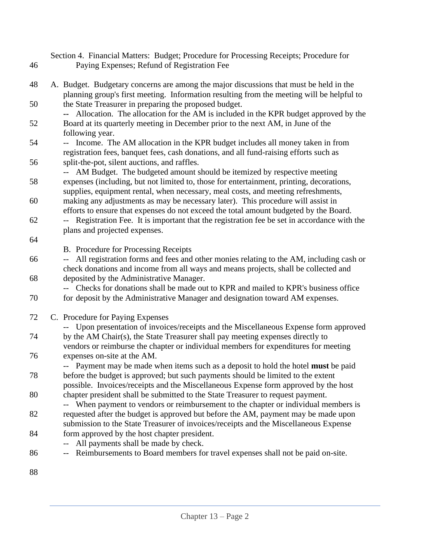Section 4. Financial Matters: Budget; Procedure for Processing Receipts; Procedure for 46 Paying Expenses; Refund of Registration Fee

- 48 A. Budget. Budgetary concerns are among the major discussions that must be held in the planning group's first meeting. Information resulting from the meeting will be helpful to 50 the State Treasurer in preparing the proposed budget.
- **--** Allocation. The allocation for the AM is included in the KPR budget approved by the 52 Board at its quarterly meeting in December prior to the next AM, in June of the following year.
- 54 -- Income. The AM allocation in the KPR budget includes all money taken in from registration fees, banquet fees, cash donations, and all fund-raising efforts such as 56 split-the-pot, silent auctions, and raffles.
- -- AM Budget. The budgeted amount should be itemized by respective meeting 58 expenses (including, but not limited to, those for entertainment, printing, decorations,
- supplies, equipment rental, when necessary, meal costs, and meeting refreshments, 60 making any adjustments as may be necessary later). This procedure will assist in efforts to ensure that expenses do not exceed the total amount budgeted by the Board.
- 62 -- Registration Fee. It is important that the registration fee be set in accordance with the plans and projected expenses.
- 64
- B. Procedure for Processing Receipts
- 66 -- All registration forms and fees and other monies relating to the AM, including cash or check donations and income from all ways and means projects, shall be collected and 68 deposited by the Administrative Manager.

-- Checks for donations shall be made out to KPR and mailed to KPR's business office 70 for deposit by the Administrative Manager and designation toward AM expenses.

- 72 C. Procedure for Paying Expenses
- -- Upon presentation of invoices/receipts and the Miscellaneous Expense form approved 74 by the AM Chair(s), the State Treasurer shall pay meeting expenses directly to vendors or reimburse the chapter or individual members for expenditures for meeting 76 expenses on-site at the AM.
- -- Payment may be made when items such as a deposit to hold the hotel **must** be paid 78 before the budget is approved; but such payments should be limited to the extent
- possible. Invoices/receipts and the Miscellaneous Expense form approved by the host 80 chapter president shall be submitted to the State Treasurer to request payment.
- -- When payment to vendors or reimbursement to the chapter or individual members is 82 requested after the budget is approved but before the AM, payment may be made upon submission to the State Treasurer of invoices/receipts and the Miscellaneous Expense
- 84 form approved by the host chapter president.
	- -- All payments shall be made by check.
- 86 -- Reimbursements to Board members for travel expenses shall not be paid on-site.
- 88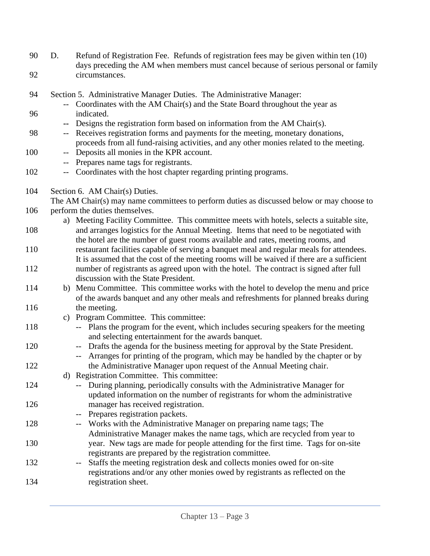- 90 D. Refund of Registration Fee. Refunds of registration fees may be given within ten (10) days preceding the AM when members must cancel because of serious personal or family 92 circumstances.
- 94 Section 5. Administrative Manager Duties. The Administrative Manager: -- Coordinates with the AM Chair(s) and the State Board throughout the year as 96 indicated. **--** Designs the registration form based on information from the AM Chair(s). 98 -- Receives registration forms and payments for the meeting, monetary donations, proceeds from all fund-raising activities, and any other monies related to the meeting. 100 -- Deposits all monies in the KPR account. -- Prepares name tags for registrants. 102 -- Coordinates with the host chapter regarding printing programs. 104 Section 6. AM Chair(s) Duties. The AM Chair(s) may name committees to perform duties as discussed below or may choose to 106 perform the duties themselves. a) Meeting Facility Committee. This committee meets with hotels, selects a suitable site, 108 and arranges logistics for the Annual Meeting. Items that need to be negotiated with the hotel are the number of guest rooms available and rates, meeting rooms, and 110 restaurant facilities capable of serving a banquet meal and regular meals for attendees. It is assumed that the cost of the meeting rooms will be waived if there are a sufficient 112 number of registrants as agreed upon with the hotel. The contract is signed after full discussion with the State President. 114 b) Menu Committee. This committee works with the hotel to develop the menu and price of the awards banquet and any other meals and refreshments for planned breaks during 116 the meeting. c) Program Committee. This committee: 118 -- Plans the program for the event, which includes securing speakers for the meeting and selecting entertainment for the awards banquet. 120 -- Drafts the agenda for the business meeting for approval by the State President. -- Arranges for printing of the program, which may be handled by the chapter or by 122 the Administrative Manager upon request of the Annual Meeting chair. d) Registration Committee. This committee: 124 -- During planning, periodically consults with the Administrative Manager for updated information on the number of registrants for whom the administrative 126 manager has received registration. -- Prepares registration packets. 128 -- Works with the Administrative Manager on preparing name tags; The Administrative Manager makes the name tags, which are recycled from year to 130 year. New tags are made for people attending for the first time. Tags for on-site registrants are prepared by the registration committee. 132 -- Staffs the meeting registration desk and collects monies owed for on-site registrations and/or any other monies owed by registrants as reflected on the 134 registration sheet.